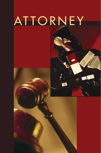# ATTORNEY